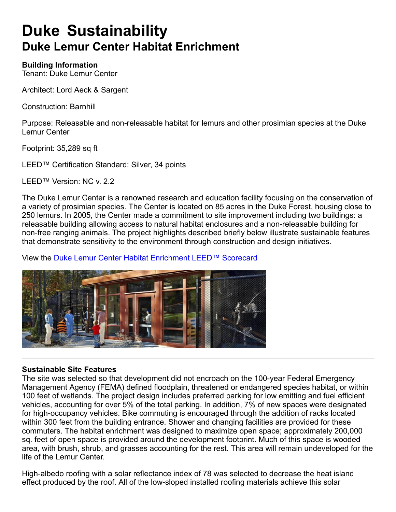## **Duke Sustainability Duke Lemur Center Habitat Enrichment**

### **Building Information**

Tenant: Duke Lemur Center

Architect: Lord Aeck & Sargent

Construction: Barnhill

Purpose: Releasable and non-releasable habitat for lemurs and other prosimian species at the Duke Lemur Center

Footprint: 35,289 sq ft

LEED™ Certification Standard: Silver, 34 points

LEED™ Version: NC v. 2.2

The Duke Lemur Center is a renowned research and education facility focusing on the conservation of a variety of prosimian species. The Center is located on 85 acres in the Duke Forest, housing close to 250 lemurs. In 2005, the Center made a commitment to site improvement including two buildings: a releasable building allowing access to natural habitat enclosures and a non-releasable building for non-free ranging animals. The project highlights described briefly below illustrate sustainable features that demonstrate sensitivity to the environment through construction and design initiatives.

View the Duke Lemur Center Habitat Enrichment LEED™ Scorecard



### **Sustainable Site Features**

The site was selected so that development did not encroach on the 100-year Federal Emergency Management Agency (FEMA) defined floodplain, threatened or endangered species habitat, or within 100 feet of wetlands. The project design includes preferred parking for low emitting and fuel efficient vehicles, accounting for over 5% of the total parking. In addition, 7% of new spaces were designated for high-occupancy vehicles. Bike commuting is encouraged through the addition of racks located within 300 feet from the building entrance. Shower and changing facilities are provided for these commuters. The habitat enrichment was designed to maximize open space; approximately 200,000 sq. feet of open space is provided around the development footprint. Much of this space is wooded area, with brush, shrub, and grasses accounting for the rest. This area will remain undeveloped for the life of the Lemur Center.

High-albedo roofing with a solar reflectance index of 78 was selected to decrease the heat island effect produced by the roof. All of the low-sloped installed roofing materials achieve this solar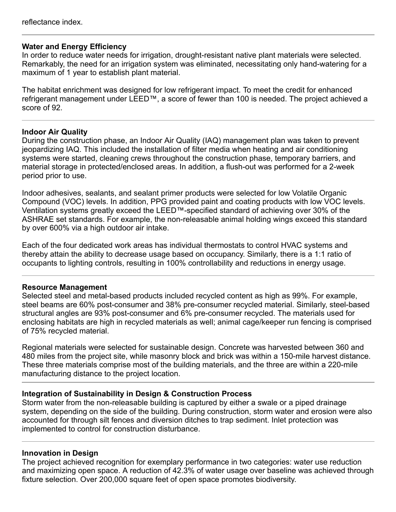### **Water and Energy Efficiency**

In order to reduce water needs for irrigation, drought-resistant native plant materials were selected. Remarkably, the need for an irrigation system was eliminated, necessitating only hand-watering for a maximum of 1 year to establish plant material.

The habitat enrichment was designed for low refrigerant impact. To meet the credit for enhanced refrigerant management under LEED™, a score of fewer than 100 is needed. The project achieved a score of 92.

### **Indoor Air Quality**

During the construction phase, an Indoor Air Quality (IAQ) management plan was taken to prevent jeopardizing IAQ. This included the installation of filter media when heating and air conditioning systems were started, cleaning crews throughout the construction phase, temporary barriers, and material storage in protected/enclosed areas. In addition, a flush-out was performed for a 2-week period prior to use.

Indoor adhesives, sealants, and sealant primer products were selected for low Volatile Organic Compound (VOC) levels. In addition, PPG provided paint and coating products with low VOC levels. Ventilation systems greatly exceed the LEED™-specified standard of achieving over 30% of the ASHRAE set standards. For example, the non-releasable animal holding wings exceed this standard by over 600% via a high outdoor air intake.

Each of the four dedicated work areas has individual thermostats to control HVAC systems and thereby attain the ability to decrease usage based on occupancy. Similarly, there is a 1:1 ratio of occupants to lighting controls, resulting in 100% controllability and reductions in energy usage.

### **Resource Management**

Selected steel and metal-based products included recycled content as high as 99%. For example, steel beams are 60% post-consumer and 38% pre-consumer recycled material. Similarly, steel-based structural angles are 93% post-consumer and 6% pre-consumer recycled. The materials used for enclosing habitats are high in recycled materials as well; animal cage/keeper run fencing is comprised of 75% recycled material.

Regional materials were selected for sustainable design. Concrete was harvested between 360 and 480 miles from the project site, while masonry block and brick was within a 150-mile harvest distance. These three materials comprise most of the building materials, and the three are within a 220-mile manufacturing distance to the project location.

### **Integration of Sustainability in Design & Construction Process**

Storm water from the non-releasable building is captured by either a swale or a piped drainage system, depending on the side of the building. During construction, storm water and erosion were also accounted for through silt fences and diversion ditches to trap sediment. Inlet protection was implemented to control for construction disturbance.

### **Innovation in Design**

The project achieved recognition for exemplary performance in two categories: water use reduction and maximizing open space. A reduction of 42.3% of water usage over baseline was achieved through fixture selection. Over 200,000 square feet of open space promotes biodiversity.